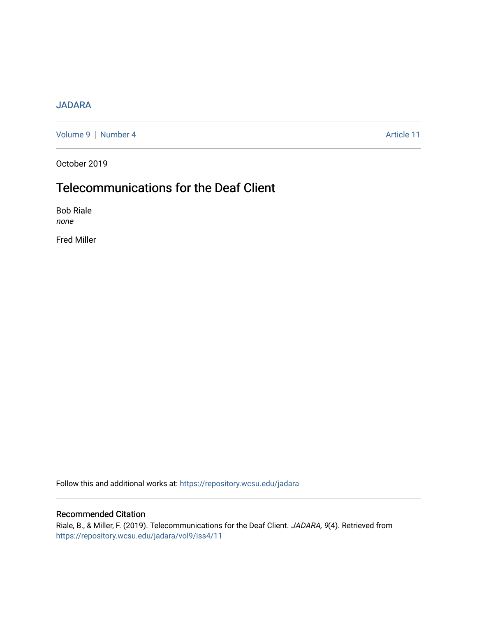## [JADARA](https://repository.wcsu.edu/jadara)

[Volume 9](https://repository.wcsu.edu/jadara/vol9) | [Number 4](https://repository.wcsu.edu/jadara/vol9/iss4) Article 11

October 2019

# Telecommunications for the Deaf Client

Bob Riale none

Fred Miller

Follow this and additional works at: [https://repository.wcsu.edu/jadara](https://repository.wcsu.edu/jadara?utm_source=repository.wcsu.edu%2Fjadara%2Fvol9%2Fiss4%2F11&utm_medium=PDF&utm_campaign=PDFCoverPages)

### Recommended Citation

Riale, B., & Miller, F. (2019). Telecommunications for the Deaf Client. JADARA, 9(4). Retrieved from [https://repository.wcsu.edu/jadara/vol9/iss4/11](https://repository.wcsu.edu/jadara/vol9/iss4/11?utm_source=repository.wcsu.edu%2Fjadara%2Fvol9%2Fiss4%2F11&utm_medium=PDF&utm_campaign=PDFCoverPages)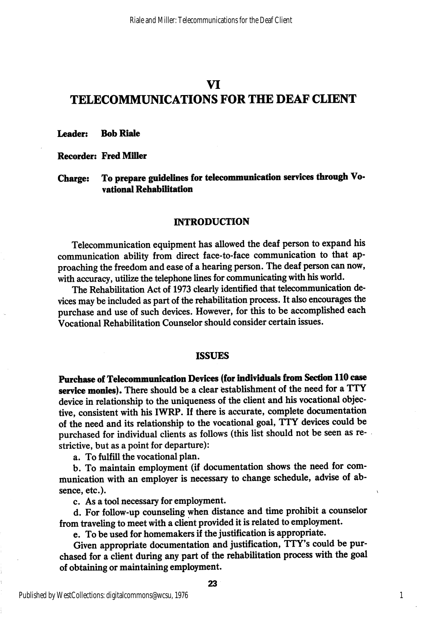## VI TELECOMMUNICATIONS FOR THE DEAF CLIENT

Leader: Bob Riale

Recorder: FredMiUer

Charge: To prepare guidelines for telecommunication services through Vovational Rehabilitation

#### **INTRODUCTION**

Telecommunication equipment has allowed the deaf person to expand his communication ability from direct face-to-face communication to that ap proaching the freedom and ease of a hearing person. The deaf person can now, with accuracy, utilize the telephone lines for communicating with his world.

The Rehabilitation Act of 1973 clearly identified that telecommunication de vices may be included as part of the rehabilitation process. It also encourages the purchase and use of such devices. However, for this to be accomplished each Vocational Rehabilitation Counselor should consider certain issues.

#### ISSUES

Purchase of Telecommunication Devices (for individuals from Section 110 case service monies). There should be a clear establishment of the need for a TTY device in relationship to the uniqueness of the client and his vocational objec tive, consistent with his IWRP. If there is accurate, complete documentation of the need and its relationship to the vocational goal, TTY devices could be purchased for individual clients as follows (this list should not be seen as re strictive, but as a point for departure):

a. To fulfill the vocational plan.

b. To maintain employment (if documentation shows the need for communication with an employer is necessary to change schedule, advise of absence, etc.).

c. As a tool necessary for employment.

d. For follow-up counseling when distance and time prohibit a counselor from traveling to meet with a client provided it is related to employment.

e. To be used for homemakers if the justification is appropriate.

Given appropriate documentation and justification, TTY's could be pur chased for a client during any part of the rehabilitation process with the goal of obtaining or maintaining employment.

1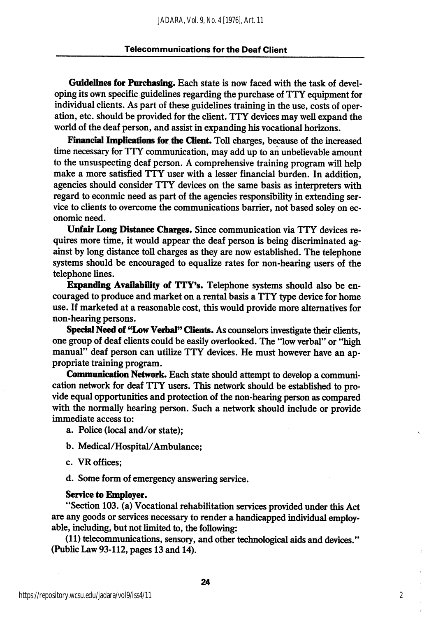Guidelines for Purchasing. Each state is now faced with the task of devel oping its own specific guidelines regarding the purchase of TTY equipment for individual clients. As part of these guidelines training in the use, costs of oper ation, etc. should be provided for the client. TTY devices may well expand the world of the deaf person, and assist in expanding his vocational horizons.

Financial Implications for the Client. Toll charges, because of the increased time necessary for TTY communication, may add up to an unbelievable amount to the unsuspecting deaf person. A comprehensive training program will help make a more satisfied TTY user with a lesser financial burden. In addition, agencies should consider TTY devices on the same basis as interpreters with regard to econmic need as part of the agencies responsibility in extending ser vice to clients to overcome the communications barrier, not based soley on economic need.

Unfair Long Distance Charges. Since communication via TTY devices requires more time, it would appear the deaf person is being discriminated ag ainst by long distance toll charges as they are now established. The telephone systems should be encouraged to equalize rates for non-hearing users of the telephone lines.

Expanding Availability of TTY's. Telephone systems should also be encouraged to produce and market on a rental basis a TTY type device for home use. If marketed at a reasonable cost, this would provide more alternatives for non-hearing persons.

Special Need of "Low Verbal" Clients. As counselors investigate their clients, one group of deaf clients could be easily overlooked. The "low verbal" or "high manual" deaf person can utilize TTY devices. He must however have an ap propriate training program.

Communication Network. Each state should attempt to develop a communication network for deaf TTY users. This network should be established to pro vide equal opportunities and protection of the non-hearing person as compared with the normally hearing person. Such a network should include or provide immediate access to:

- a. Police (local and/or state);
- b. Medical/Hospital/Ambulance;
- c. VR offices;
- d. Some form of emergency answering service.

#### Service to Employer.

"Section 103. (a) Vocational rehabilitation services provided under this Act are any goods or services necessary to render a handicapped individual employable, including, but not limited to, the following:

(11) telecommunications, sensory, and other technological aids and devices." (Public Law 93-112, pages 13 and 14).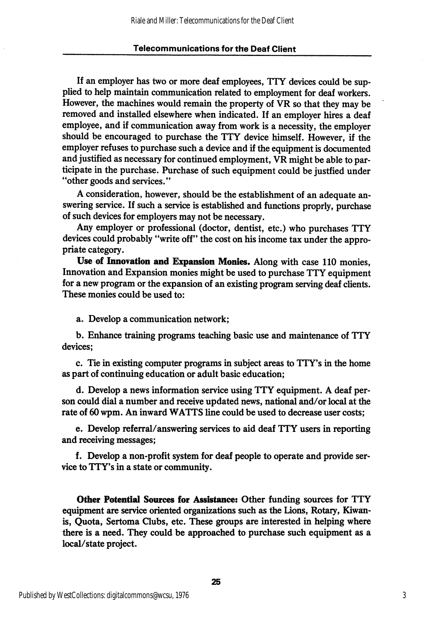#### Telecommunications for the Deaf Ciient

If an employer has two or more deaf employees, TTY devices could be sup plied to help maintain communication related to employment for deaf workers. However, the machines would remain the property of VR so that they may be removed and installed elsewhere when indicated. If an employer hires a deaf employee, and if communication away from work is a necessity, the employer should be encouraged to purchase the TTY device himself. However, if the employer refuses to purchase such a device and if the equipment is documented and justified as necessary for continued employment, VR might be able to par ticipate in the purchase. Purchase of such equipment could be justfied under "other goods and services."

A consideration, however, should be the establishment of an adequate an swering service. If such a service is established and functions proprly, purchase of such devices for employers may not be necessary.

Any employer or professional (doctor, dentist, etc.) who purchases TTY devices could probably "write off" the cost on his income tax under the appro priate category.

Use of Innovation and Expansion Monies. Along with case 110 monies. Innovation and Expansion monies might be used to purchase TTY equipment for a new program or the expansion of an existing program serving deaf clients. These monies could be used to:

a. Develop a communication network;

b. Enhance training programs teaching basic use and maintenance of TTY devices;

c. Tie in existing computer programs in subject areas to TTY's in the home as part of continuing education or adult basic education;

d. Develop a news information service using TTY equipment. A deaf per son could dial a number and receive updated news, national and/or local at the rate of 60 wpm. An inward WATTS line could be used to decrease user costs;

e. Develop referral/answering services to aid deaf TTY users in reporting and receiving messages;

f. Develop a non-profit system for deaf people to operate and provide ser vice to TTY's in a state or community.

Other Potential Sources for Assistance: Other funding sources for TTY equipment are service oriented organizations such as the lions. Rotary, Kiwanis. Quota, Sertoma Clubs, etc. These groups are interested in helping where there is a need. They could be approached to purchase such equipment as a local/state project.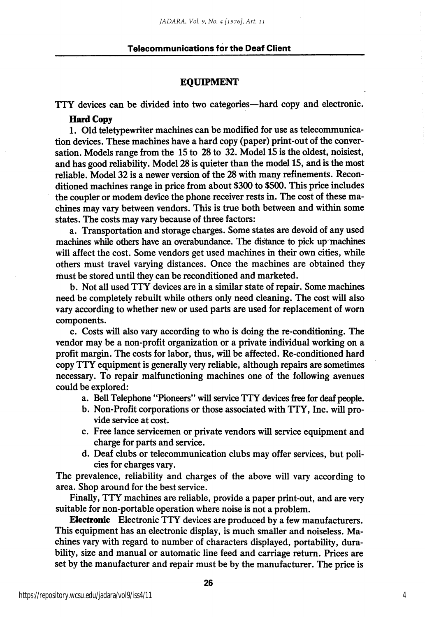#### Telecommunications for the Deaf Ciient

#### EQUIPMENT

TTY devices can be divided into two categories—hard copy and electronic.

#### Hard Copy

1. Old teletypewriter machines can be modified for use as telecommunica tion devices. These machines have a hard copy (paper) print-out of the conver sation. Models range from the 15 to 28 to 32. Model 15 is the oldest, noisiest, and has good reliability. Model 28 is quieter than the model 15, and is the most reliable. Model 32 is a newer version of the 28 with many refinements. Recon ditioned machines range in price from about \$300 to \$500. This price includes the coupler or modem device the phone receiver rests in. The cost of these ma chines may vary between vendors. This is true both between and within some states. The costs may vary because of three factors:

a. Transportation and storage charges. Some states are devoid of any used machines while others have an overabundance. The distance to pick up machines will affect the cost. Some vendors get used machines in their own cities, while others must travel varying distances. Once the machines are obtained they must be stored until they can be reconditioned and marketed.

b. Not all used TTY devices are in a similar state of repair. Some machines need be completely rebuilt while others only need cleaning. The cost will also vary according to whether new or used parts are used for replacement of worn components.

c. Costs will also vary according to who is doing the re-conditioning. The vendor may be a non-profit organization or a private individual working on a profit margin. The costs for labor, thus, will be affected. Re-conditioned hard copy TTY equipment is generally very reliable, although repairs are sometimes necessary. To repair malfunctioning machines one of the following avenues could be explored:

- a. Bell Telephone "Pioneers" will service TTY devices free for deaf people.
- b. Non-Profit corporations or those associated with TTY, Inc. will pro vide service at cost.
- c. Free lance servicemen or private vendors will service equipment and charge for parts and service.
- d. Deaf clubs or telecommunication clubs may offer services, but poli cies for charges vary.

The prevalence, reliability and charges of the above will vary according to area. Shop around for the best service.

Finally, TTY machines are reliable, provide a paper print-out, and are very suitable for non-portable operation where noise is not a problem.

Electronic Electronic TTY devices are produced by a few manufacturers. This equipment has an electronic display, is much smaller and noiseless. Ma chines vary with regard to number of characters displayed, portability, dura bility, size and manual or automatic line feed and carriage return. Prices are set by the manufacturer and repair must be by the manufacturer. The price is